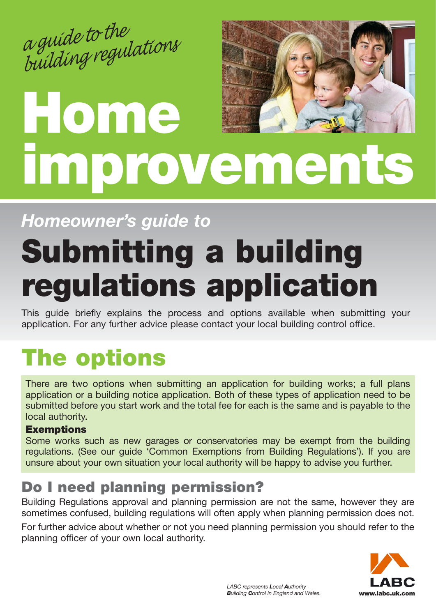

**Home** 



# **improvements**

## *Homeowner's guide to*

# **Submitting a building regulations application**

This guide briefly explains the process and options available when submitting your application. For any further advice please contact your local building control office.

## **The options**

There are two options when submitting an application for building works; a full plans application or a building notice application. Both of these types of application need to be submitted before you start work and the total fee for each is the same and is payable to the local authority.

#### **Exemptions**

Some works such as new garages or conservatories may be exempt from the building regulations. (See our guide 'Common Exemptions from Building Regulations'). If you are unsure about your own situation your local authority will be happy to advise you further.

### **Do I need planning permission?**

Building Regulations approval and planning permission are not the same, however they are sometimes confused, building regulations will often apply when planning permission does not.

For further advice about whether or not you need planning permission you should refer to the planning officer of your own local authority.